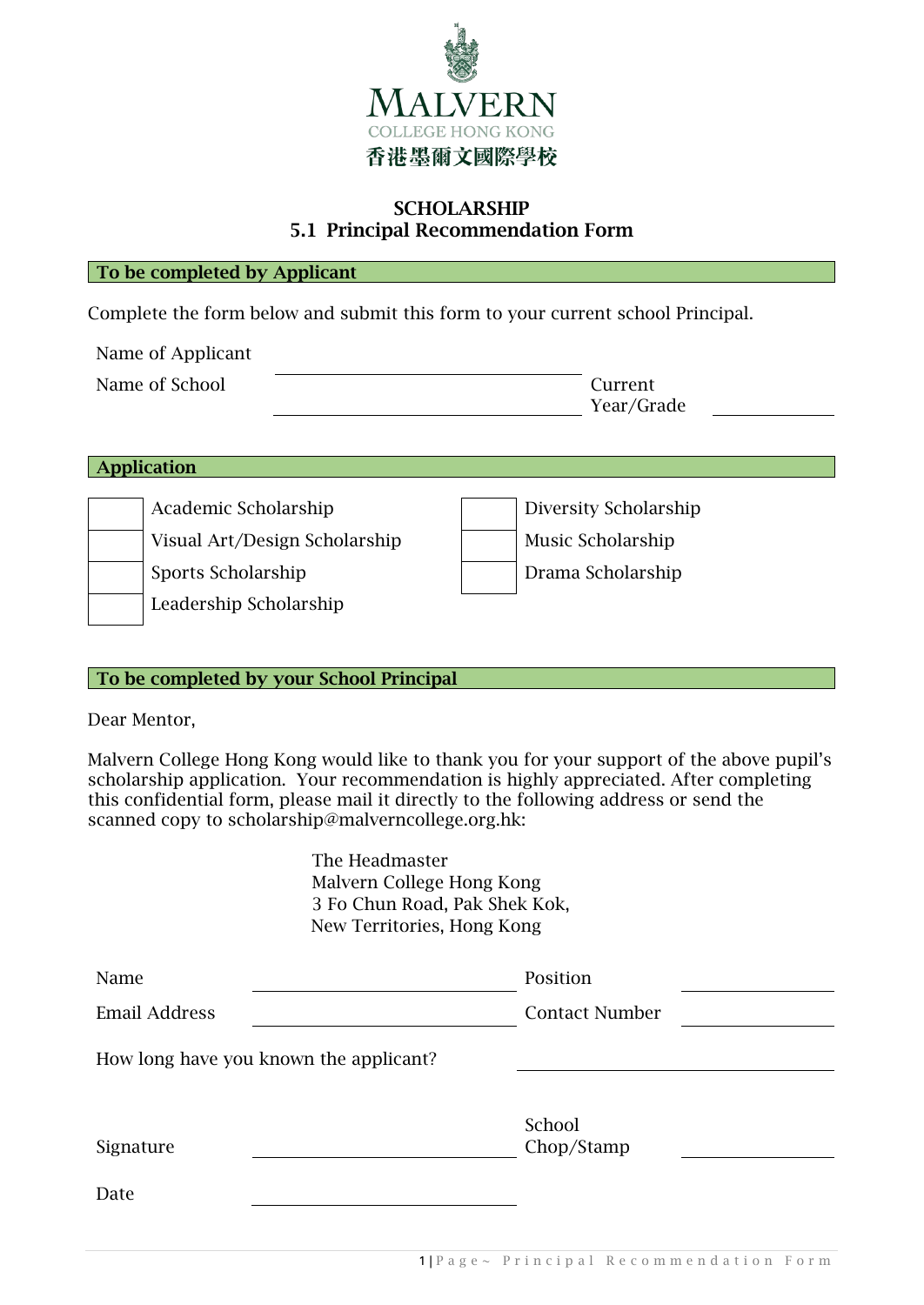

## **SCHOLARSHIP** 5.1 Principal Recommendation Form

#### To be completed by Applicant

Complete the form below and submit this form to your current school Principal.

| Name of Applicant |                       |
|-------------------|-----------------------|
| Name of School    | Current<br>Year/Grade |

| <b>Application</b>                                                                                    |                                                                 |  |  |  |  |  |
|-------------------------------------------------------------------------------------------------------|-----------------------------------------------------------------|--|--|--|--|--|
| Academic Scholarship<br>Visual Art/Design Scholarship<br>Sports Scholarship<br>Leadership Scholarship | Diversity Scholarship<br>Music Scholarship<br>Drama Scholarship |  |  |  |  |  |

#### To be completed by your School Principal

Dear Mentor,

Malvern College Hong Kong would like to thank you for your support of the above pupil's scholarship application. Your recommendation is highly appreciated. After completing this confidential form, please mail it directly to the following address or send the scanned copy to scholarship@malverncollege.org.hk:

|                            | The Headmaster                         |                       |  |  |  |  |
|----------------------------|----------------------------------------|-----------------------|--|--|--|--|
| Malvern College Hong Kong  |                                        |                       |  |  |  |  |
|                            | 3 Fo Chun Road, Pak Shek Kok,          |                       |  |  |  |  |
| New Territories, Hong Kong |                                        |                       |  |  |  |  |
| Name                       |                                        | Position              |  |  |  |  |
| <b>Email Address</b>       |                                        | <b>Contact Number</b> |  |  |  |  |
|                            | How long have you known the applicant? |                       |  |  |  |  |
| Signature                  |                                        | School<br>Chop/Stamp  |  |  |  |  |
|                            |                                        |                       |  |  |  |  |
| Date                       |                                        |                       |  |  |  |  |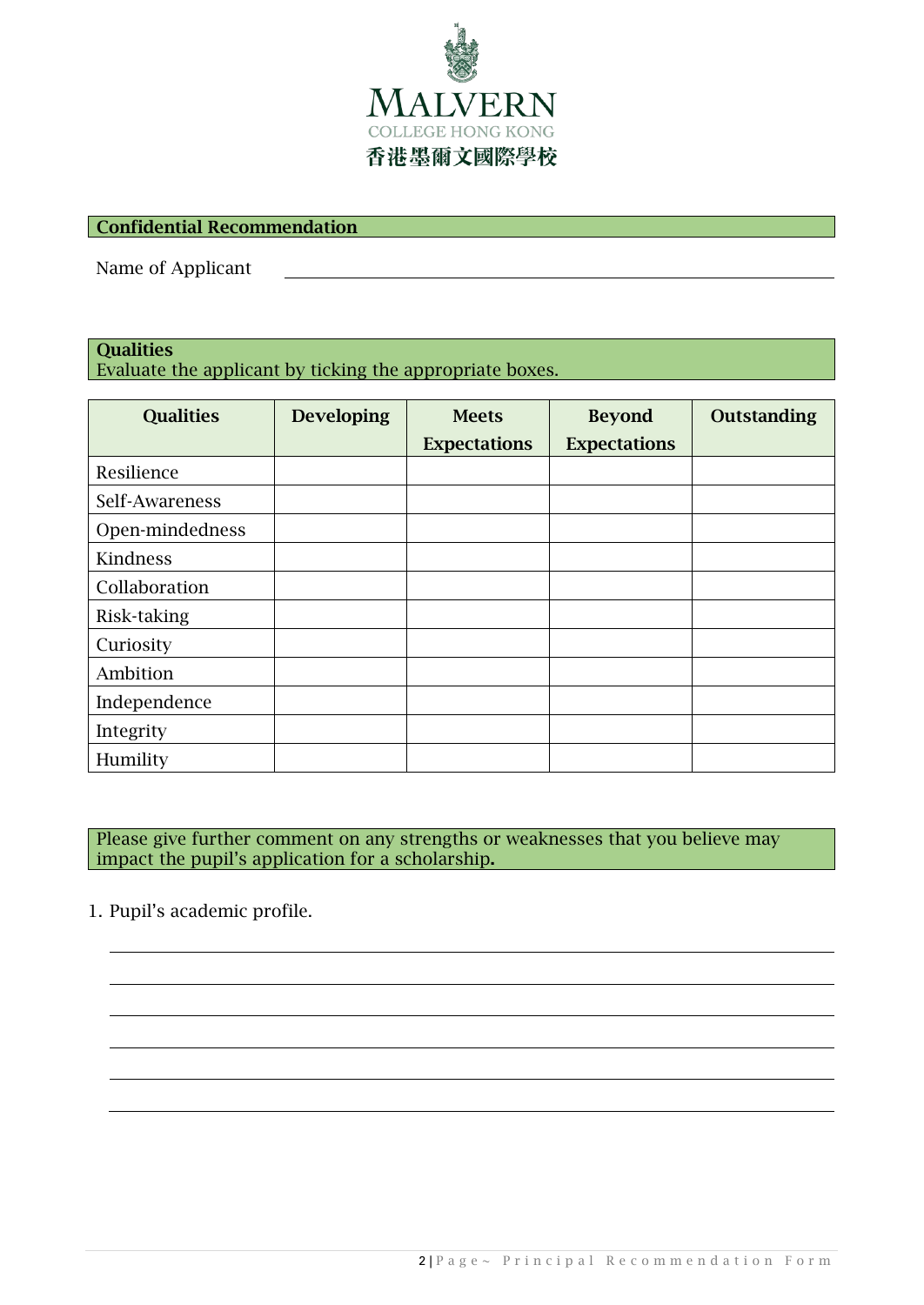

### Confidential Recommendation

Name of Applicant

# **Oualities**

Evaluate the applicant by ticking the appropriate boxes.

| <b>Qualities</b> | <b>Developing</b> | <b>Meets</b>        | <b>Beyond</b>       | Outstanding |
|------------------|-------------------|---------------------|---------------------|-------------|
|                  |                   | <b>Expectations</b> | <b>Expectations</b> |             |
| Resilience       |                   |                     |                     |             |
| Self-Awareness   |                   |                     |                     |             |
| Open-mindedness  |                   |                     |                     |             |
| Kindness         |                   |                     |                     |             |
| Collaboration    |                   |                     |                     |             |
| Risk-taking      |                   |                     |                     |             |
| Curiosity        |                   |                     |                     |             |
| Ambition         |                   |                     |                     |             |
| Independence     |                   |                     |                     |             |
| Integrity        |                   |                     |                     |             |
| Humility         |                   |                     |                     |             |

Please give further comment on any strengths or weaknesses that you believe may impact the pupil's application for a scholarship.

1. Pupil's academic profile.